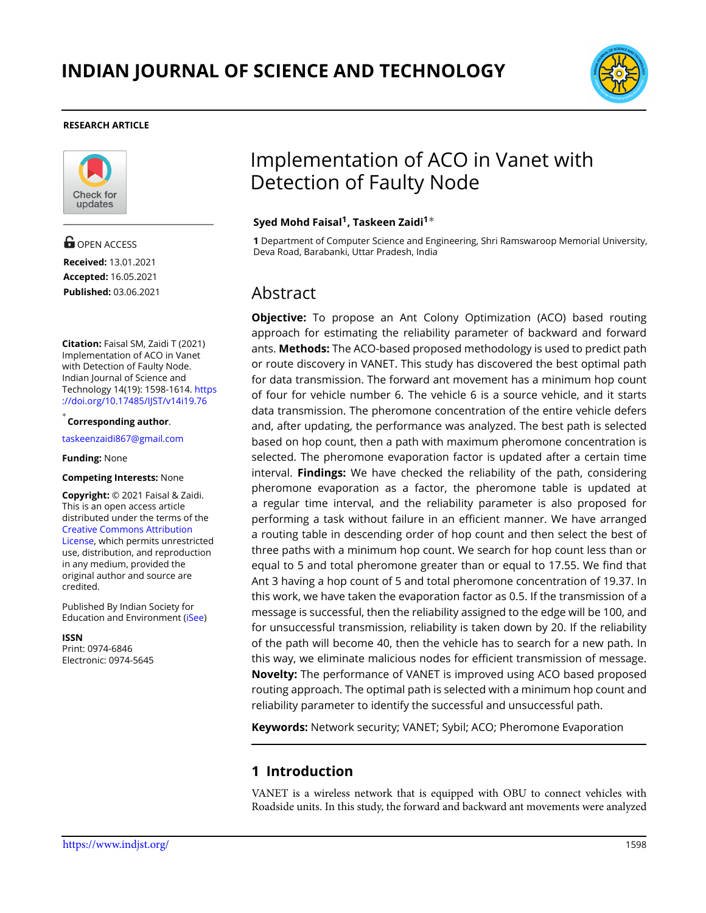

#### **RESEARCH ARTICLE**



**G** OPEN ACCESS **Received:** 13.01.2021 **Accepted:** 16.05.2021 **Published:** 03.06.2021

**Citation:** Faisal SM, Zaidi T (2021) Implementation of ACO in Vanet with Detection of Faulty Node. Indian Journal of Science and Technology 14(19): 1598-1614. [https](https://doi.org/10.17485/IJST/v14i19.76) [://doi.org/10.17485/IJST/v14i19.76](https://doi.org/10.17485/IJST/v14i19.76)

*∗* **Corresponding author**.

<taskeenzaidi867@gmail.com>

**Funding:** None

#### **Competing Interests:** None

**Copyright:** © 2021 Faisal & Zaidi. This is an open access article distributed under the terms of the [Creative Commons Attribution](https://creativecommons.org/licenses/by/4.0/) [License,](https://creativecommons.org/licenses/by/4.0/) which permits unrestricted use, distribution, and reproduction in any medium, provided the original author and source are credited.

Published By Indian Society for Education and Environment([iSee\)](www.iseeadyar.org.)

**ISSN**

Print: 0974-6846 Electronic: 0974-5645

# Implementation of ACO in Vanet with Detection of Faulty Node

#### **Syed Mohd Faisal<sup>1</sup> , Taskeen Zaidi<sup>1</sup>***∗*

**1** Department of Computer Science and Engineering, Shri Ramswaroop Memorial University, Deva Road, Barabanki, Uttar Pradesh, India

# Abstract

**Objective:** To propose an Ant Colony Optimization (ACO) based routing approach for estimating the reliability parameter of backward and forward ants. **Methods:** The ACO-based proposed methodology is used to predict path or route discovery in VANET. This study has discovered the best optimal path for data transmission. The forward ant movement has a minimum hop count of four for vehicle number 6. The vehicle 6 is a source vehicle, and it starts data transmission. The pheromone concentration of the entire vehicle defers and, after updating, the performance was analyzed. The best path is selected based on hop count, then a path with maximum pheromone concentration is selected. The pheromone evaporation factor is updated after a certain time interval. **Findings:** We have checked the reliability of the path, considering pheromone evaporation as a factor, the pheromone table is updated at a regular time interval, and the reliability parameter is also proposed for performing a task without failure in an efficient manner. We have arranged a routing table in descending order of hop count and then select the best of three paths with a minimum hop count. We search for hop count less than or equal to 5 and total pheromone greater than or equal to 17.55. We find that Ant 3 having a hop count of 5 and total pheromone concentration of 19.37. In this work, we have taken the evaporation factor as 0.5. If the transmission of a message is successful, then the reliability assigned to the edge will be 100, and for unsuccessful transmission, reliability is taken down by 20. If the reliability of the path will become 40, then the vehicle has to search for a new path. In this way, we eliminate malicious nodes for efficient transmission of message. **Novelty:** The performance of VANET is improved using ACO based proposed routing approach. The optimal path is selected with a minimum hop count and reliability parameter to identify the successful and unsuccessful path.

**Keywords:** Network security; VANET; Sybil; ACO; Pheromone Evaporation

# **1 Introduction**

VANET is a wireless network that is equipped with OBU to connect vehicles with Roadside units. In this study, the forward and backward ant movements were analyzed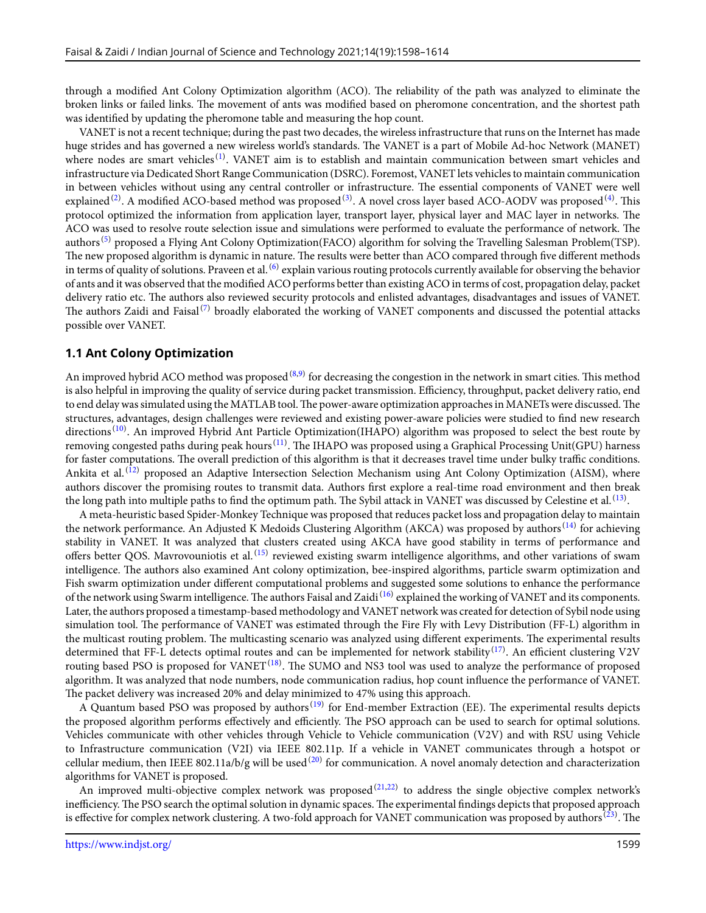through a modified Ant Colony Optimization algorithm (ACO). The reliability of the path was analyzed to eliminate the broken links or failed links. The movement of ants was modified based on pheromone concentration, and the shortest path was identified by updating the pheromone table and measuring the hop count.

VANET is not a recent technique; during the past two decades, the wireless infrastructure that runs on the Internet has made huge strides and has governed a new wireless world's standards. The VANET is a part of Mobile Ad-hoc Network (MANET) where nodes are smart vehicles  $^{(1)}$  $^{(1)}$  $^{(1)}$ . VANET aim is to establish and maintain communication between smart vehicles and infrastructure via Dedicated Short Range Communication (DSRC). Foremost, VANET lets vehicles to maintain communication in between vehicles without using any central controller or infrastructure. The essential components of VANET were well explained  $^{(2)}$  $^{(2)}$  $^{(2)}$ . A modified ACO-based method was proposed  $^{(3)}$  $^{(3)}$  $^{(3)}$ . A novel cross layer based ACO-AODV was proposed  $^{(4)}$  $^{(4)}$  $^{(4)}$ . This protocol optimized the information from application layer, transport layer, physical layer and MAC layer in networks. The ACO was used to resolve route selection issue and simulations were performed to evaluate the performance of network. The authors<sup>[\(5\)](#page-15-4)</sup> proposed a Flying Ant Colony Optimization(FACO) algorithm for solving the Travelling Salesman Problem(TSP). The new proposed algorithm is dynamic in nature. The results were better than ACO compared through five different methods in terms of quality of solutions. Praveen et al. <sup>([6](#page-15-5))</sup> explain various routing protocols currently available for observing the behavior of ants and it was observed that the modified ACO performs better than existing ACO in terms of cost, propagation delay, packet delivery ratio etc. The authors also reviewed security protocols and enlisted advantages, disadvantages and issues of VANET. The authors Zaidi and Faisal<sup>[\(7\)](#page-15-6)</sup> broadly elaborated the working of VANET components and discussed the potential attacks possible over VANET.

#### **1.1 Ant Colony Optimization**

An improved hybrid ACO method was proposed  $^{(8,9)}$  $^{(8,9)}$  $^{(8,9)}$  $^{(8,9)}$  $^{(8,9)}$  for decreasing the congestion in the network in smart cities. This method is also helpful in improving the quality of service during packet transmission. Efficiency, throughput, packet delivery ratio, end to end delay was simulated using the MATLAB tool. The power-aware optimization approaches in MANETs were discussed. The structures, advantages, design challenges were reviewed and existing power-aware policies were studied to find new research directions<sup>[\(10](#page-15-9))</sup>. An improved Hybrid Ant Particle Optimization(IHAPO) algorithm was proposed to select the best route by removing congested paths during peak hours<sup>[\(11\)](#page-15-10)</sup>. The IHAPO was proposed using a Graphical Processing Unit(GPU) harness for faster computations. The overall prediction of this algorithm is that it decreases travel time under bulky traffic conditions. Ankita et al.<sup>[\(12](#page-15-11))</sup> proposed an Adaptive Intersection Selection Mechanism using Ant Colony Optimization (AISM), where authors discover the promising routes to transmit data. Authors first explore a real-time road environment and then break the long path into multiple paths to find the optimum path. The Sybil attack in VANET was discussed by Celestine et al.  $^{(13)}$  $^{(13)}$  $^{(13)}$ .

A meta-heuristic based Spider-Monkey Technique was proposed that reduces packet loss and propagation delay to maintain the network performance. An Adjusted K Medoids Clustering Algorithm (AKCA) was proposed by authors <sup>[\(14](#page-15-13))</sup> for achieving stability in VANET. It was analyzed that clusters created using AKCA have good stability in terms of performance and offers better QOS. Mavrovouniotis et al.<sup>[\(15](#page-15-14))</sup> reviewed existing swarm intelligence algorithms, and other variations of swam intelligence. The authors also examined Ant colony optimization, bee-inspired algorithms, particle swarm optimization and Fish swarm optimization under different computational problems and suggested some solutions to enhance the performance of the network using Swarm intelligence. The authors Faisal and Zaidi<sup>([16\)](#page-15-15)</sup> explained the working of VANET and its components. Later, the authors proposed a timestamp-based methodology and VANET network was created for detection of Sybil node using simulation tool. The performance of VANET was estimated through the Fire Fly with Levy Distribution (FF-L) algorithm in the multicast routing problem. The multicasting scenario was analyzed using different experiments. The experimental results determined that FF-L detects optimal routes and can be implemented for network stability  $^{(17)}$  $^{(17)}$  $^{(17)}$ . An efficient clustering V2V routing based PSO is proposed for VANET<sup>([18\)](#page-15-17)</sup>. The SUMO and NS3 tool was used to analyze the performance of proposed algorithm. It was analyzed that node numbers, node communication radius, hop count influence the performance of VANET. The packet delivery was increased 20% and delay minimized to 47% using this approach.

A Quantum based PSO was proposed by authors<sup>([19\)](#page-15-18)</sup> for End-member Extraction (EE). The experimental results depicts the proposed algorithm performs effectively and efficiently. The PSO approach can be used to search for optimal solutions. Vehicles communicate with other vehicles through Vehicle to Vehicle communication (V2V) and with RSU using Vehicle to Infrastructure communication (V2I) via IEEE 802.11p. If a vehicle in VANET communicates through a hotspot or cellular medium, then IEEE 802.11a/b/g will be used <sup>([20](#page-15-19))</sup> for communication. A novel anomaly detection and characterization algorithms for VANET is proposed.

An improved multi-objective complex network was proposed $(21,22)$  $(21,22)$  $(21,22)$  $(21,22)$  to address the single objective complex network's inefficiency. The PSO search the optimal solution in dynamic spaces. The experimental findings depicts that proposed approach is effective for complex network clustering. A two-fold approach for VANET communication was proposed by authors  $^{(23)}$  $^{(23)}$  $^{(23)}$ . The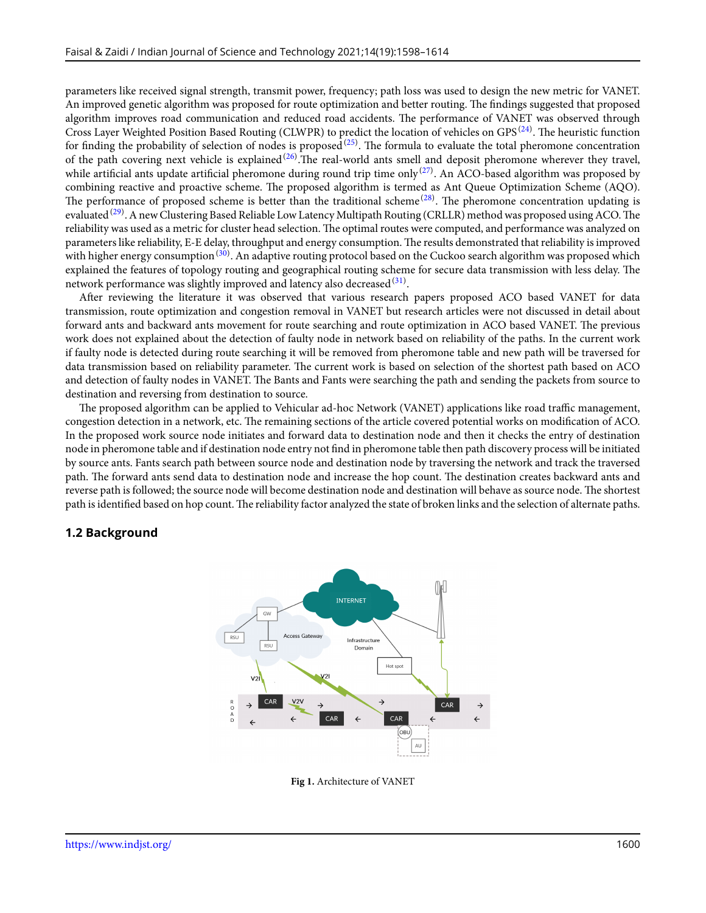parameters like received signal strength, transmit power, frequency; path loss was used to design the new metric for VANET. An improved genetic algorithm was proposed for route optimization and better routing. The findings suggested that proposed algorithm improves road communication and reduced road accidents. The performance of VANET was observed through Cross Layer Weighted Position Based Routing (CLWPR) to predict the location of vehicles on GPS<sup>[\(24](#page-15-23))</sup>. The heuristic function for finding the probability of selection of nodes is proposed $(25)$  $(25)$ . The formula to evaluate the total pheromone concentration of the path covering next vehicle is explained  $(26)$  $(26)$ . The real-world ants smell and deposit pheromone wherever they travel, while artificial ants update artificial pheromone during round trip time only $^{(27)}$  $^{(27)}$  $^{(27)}$ . An ACO-based algorithm was proposed by combining reactive and proactive scheme. The proposed algorithm is termed as Ant Queue Optimization Scheme (AQO). The performance of proposed scheme is better than the traditional scheme $^{(28)}$  $^{(28)}$  $^{(28)}$ . The pheromone concentration updating is evaluated <sup>[\(29](#page-16-4))</sup>. A new Clustering Based Reliable Low Latency Multipath Routing (CRLLR) method was proposed using ACO. The reliability was used as a metric for cluster head selection. The optimal routes were computed, and performance was analyzed on parameters like reliability, E-E delay, throughput and energy consumption. The results demonstrated that reliability is improved with higher energy consumption <sup>([30\)](#page-16-5)</sup>. An adaptive routing protocol based on the Cuckoo search algorithm was proposed which explained the features of topology routing and geographical routing scheme for secure data transmission with less delay. The network performance was slightly improved and latency also decreased  $^{(31)}$  $^{(31)}$  $^{(31)}$ .

After reviewing the literature it was observed that various research papers proposed ACO based VANET for data transmission, route optimization and congestion removal in VANET but research articles were not discussed in detail about forward ants and backward ants movement for route searching and route optimization in ACO based VANET. The previous work does not explained about the detection of faulty node in network based on reliability of the paths. In the current work if faulty node is detected during route searching it will be removed from pheromone table and new path will be traversed for data transmission based on reliability parameter. The current work is based on selection of the shortest path based on ACO and detection of faulty nodes in VANET. The Bants and Fants were searching the path and sending the packets from source to destination and reversing from destination to source.

The proposed algorithm can be applied to Vehicular ad-hoc Network (VANET) applications like road traffic management, congestion detection in a network, etc. The remaining sections of the article covered potential works on modification of ACO. In the proposed work source node initiates and forward data to destination node and then it checks the entry of destination node in pheromone table and if destination node entry not find in pheromone table then path discovery process will be initiated by source ants. Fants search path between source node and destination node by traversing the network and track the traversed path. The forward ants send data to destination node and increase the hop count. The destination creates backward ants and reverse path is followed; the source node will become destination node and destination will behave as source node. The shortest path is identified based on hop count.The reliability factor analyzed the state of broken links and the selection of alternate paths.

#### <span id="page-2-0"></span>**1.2 Background**



**Fig 1.** Architecture of VANET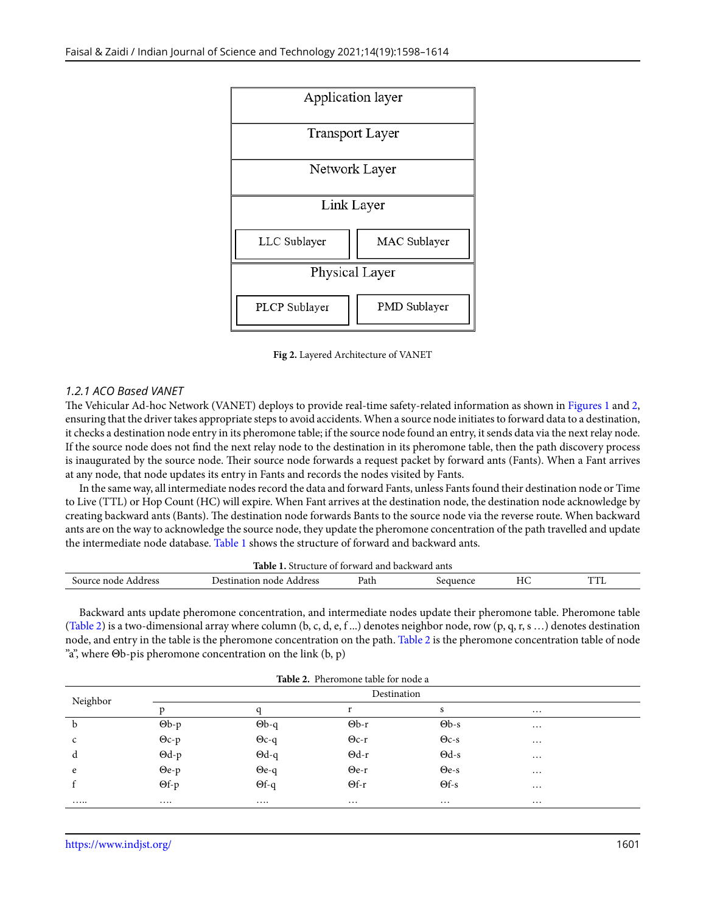<span id="page-3-0"></span>

**Fig 2.** Layered Architecture of VANET

#### *1.2.1 ACO Based VANET*

The Vehicular Ad-hoc Network (VANET) deploys to provide real-time safety-related information as shown in Figures [1](#page-2-0) and [2](#page-3-0), ensuring that the driver takes appropriate steps to avoid accidents. When a source node initiates to forward data to a destination, it checks a destination node entry in its pheromone table; if the source node found an entry, it sends data via the next relay node. If the source node does not find the next relay node to the destination in its pheromone table, then the path discovery process is inaugurated by the source node. Their source node forwards a request packet by forward ants (Fants). When a Fant arrives at any node, that node updates its entry in Fants and records the nodes visited by Fants.

In the same way, all intermediate nodes record the data and forward Fants, unless Fants found their destination node or Time to Live (TTL) or Hop Count (HC) will expire. When Fant arrives at the destination node, the destination node acknowledge by creating backward ants (Bants). The destination node forwards Bants to the source node via the reverse route. When backward ants are on the way to acknowledge the source node, they update the pheromone concentration of the path travelled and update the intermediate node database. Table [1](#page-3-1) shows the structure of forward and backward ants.

<span id="page-3-1"></span>

|                     | Table 1                  |      | $\ldots$ Structure of forward and backward ants $\ldots$ |    |     |
|---------------------|--------------------------|------|----------------------------------------------------------|----|-----|
| Source node Address | Destination node Address | □ath | eauence                                                  | HС | TTL |

Backward ants update pheromone concentration, and intermediate nodes update their pheromone table. Pheromone table (Table [2](#page-3-2)) is a two-dimensional array where column (b, c, d, e, f ...) denotes neighbor node, row (p, q, r, s ...) denotes destination node, and entry in the table is the pheromone concentration on the path. Table [2](#page-3-2) is the pheromone concentration table of node "a", where Θb-pis pheromone concentration on the link (b, p)

<span id="page-3-2"></span>

|                         |               |              | <b>Table 2.</b> Pheromone table for node a |              |          |  |
|-------------------------|---------------|--------------|--------------------------------------------|--------------|----------|--|
| Destination<br>Neighbor |               |              |                                            |              |          |  |
|                         |               |              |                                            | S            | $\cdots$ |  |
| b                       | $\Theta$ b-p  | $\Theta$ b-q | $\Theta$ b-r                               | $\Theta$ b-s | $\cdots$ |  |
| $\mathsf{C}$            | $\Theta$ c-p  | $\Theta$ c-q | $\Theta$ c-r                               | $\Theta$ c-s | $\cdots$ |  |
| d                       | $\Theta$ d-p  | $\Theta$ d-q | $\Theta$ d-r                               | $\Theta$ d-s | $\cdots$ |  |
| e                       | $\Theta e$ -p | $\Theta$ e-q | $\Theta$ e-r                               | $\Theta$ e-s | $\cdots$ |  |
|                         | $\Theta f$ -p | $\Theta$ f-q | $\Theta$ f-r                               | $\Theta$ f-s | $\cdots$ |  |
|                         | $\cdots$      | $\cdots$     | $\cdots$                                   | $\cdots$     | $\cdots$ |  |

**Table 2.** Pheromone table for node a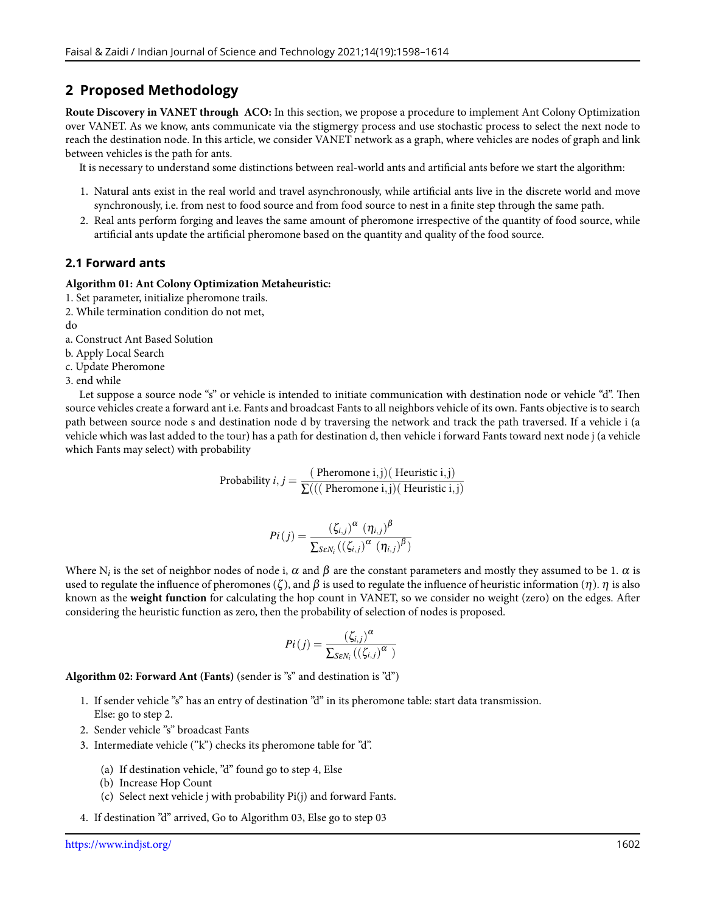# **2 Proposed Methodology**

**Route Discovery in VANET through ACO:** In this section, we propose a procedure to implement Ant Colony Optimization over VANET. As we know, ants communicate via the stigmergy process and use stochastic process to select the next node to reach the destination node. In this article, we consider VANET network as a graph, where vehicles are nodes of graph and link between vehicles is the path for ants.

It is necessary to understand some distinctions between real-world ants and artificial ants before we start the algorithm:

- 1. Natural ants exist in the real world and travel asynchronously, while artificial ants live in the discrete world and move synchronously, i.e. from nest to food source and from food source to nest in a finite step through the same path.
- 2. Real ants perform forging and leaves the same amount of pheromone irrespective of the quantity of food source, while artificial ants update the artificial pheromone based on the quantity and quality of the food source.

### **2.1 Forward ants**

#### **Algorithm 01: Ant Colony Optimization Metaheuristic:**

- 1. Set parameter, initialize pheromone trails.
- 2. While termination condition do not met,

do

a. Construct Ant Based Solution

b. Apply Local Search

c. Update Pheromone

3. end while

Let suppose a source node "s" or vehicle is intended to initiate communication with destination node or vehicle "d". Then source vehicles create a forward ant i.e. Fants and broadcast Fants to all neighbors vehicle of its own. Fants objective is to search path between source node s and destination node d by traversing the network and track the path traversed. If a vehicle i (a vehicle which was last added to the tour) has a path for destination d, then vehicle i forward Fants toward next node j (a vehicle which Fants may select) with probability

Probability *i*, *j* = 
$$
\frac{\text{(Pheromone i,j)} \text{(Heuristic i,j)}}{\sum((\text{(Pheromone i,j)} \text{(Heuristic i,j)})}
$$

$$
Pi(j) = \frac{(\zeta_{i,j})^{\alpha} (\eta_{i,j})^{\beta}}{\sum_{S \in N_i} ((\zeta_{i,j})^{\alpha} (\eta_{i,j})^{\beta})}
$$

Where  $N_i$  is the set of neighbor nodes of node i,  $\alpha$  and  $\beta$  are the constant parameters and mostly they assumed to be 1.  $\alpha$  is used to regulate the influence of pheromones ( $\zeta$ ), and  $\beta$  is used to regulate the influence of heuristic information ( $\eta$ ).  $\eta$  is also known as the **weight function** for calculating the hop count in VANET, so we consider no weight (zero) on the edges. After considering the heuristic function as zero, then the probability of selection of nodes is proposed.

$$
Pi(j) = \frac{\left(\zeta_{i,j}\right)^{\alpha}}{\sum_{S \in N_i}\left(\left(\zeta_{i,j}\right)^{\alpha}\right)}
$$

**Algorithm 02: Forward Ant (Fants)** (sender is "s" and destination is "d")

- 1. If sender vehicle "s" has an entry of destination "d" in its pheromone table: start data transmission. Else: go to step 2.
- 2. Sender vehicle "s" broadcast Fants
- 3. Intermediate vehicle ("k") checks its pheromone table for "d".
	- (a) If destination vehicle, "d" found go to step 4, Else
	- (b) Increase Hop Count
	- (c) Select next vehicle j with probability Pi(j) and forward Fants.
- 4. If destination "d" arrived, Go to Algorithm 03, Else go to step 03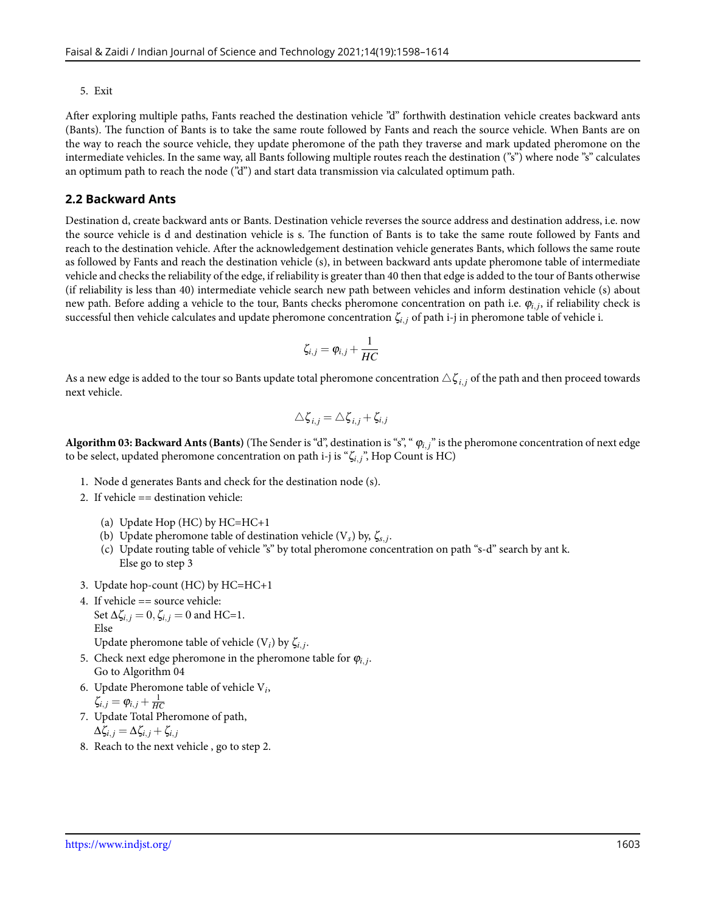#### 5. Exit

After exploring multiple paths, Fants reached the destination vehicle "d" forthwith destination vehicle creates backward ants (Bants). The function of Bants is to take the same route followed by Fants and reach the source vehicle. When Bants are on the way to reach the source vehicle, they update pheromone of the path they traverse and mark updated pheromone on the intermediate vehicles. In the same way, all Bants following multiple routes reach the destination ("s") where node "s" calculates an optimum path to reach the node ("d") and start data transmission via calculated optimum path.

#### **2.2 Backward Ants**

Destination d, create backward ants or Bants. Destination vehicle reverses the source address and destination address, i.e. now the source vehicle is d and destination vehicle is s. The function of Bants is to take the same route followed by Fants and reach to the destination vehicle. After the acknowledgement destination vehicle generates Bants, which follows the same route as followed by Fants and reach the destination vehicle (s), in between backward ants update pheromone table of intermediate vehicle and checks the reliability of the edge, if reliability is greater than 40 then that edge is added to the tour of Bants otherwise (if reliability is less than 40) intermediate vehicle search new path between vehicles and inform destination vehicle (s) about new path. Before adding a vehicle to the tour, Bants checks pheromone concentration on path i.e. φ*i, j* , if reliability check is successful then vehicle calculates and update pheromone concentration ζ*i, <sup>j</sup>* of path i-j in pheromone table of vehicle i.

$$
\zeta_{i,j} = \varphi_{i,j} + \frac{1}{HC}
$$

As a new edge is added to the tour so Bants update total pheromone concentration  $\triangle \zeta_{i,j}$  of the path and then proceed towards next vehicle.

$$
\triangle \zeta_{i,j} = \triangle \zeta_{i,j} + \zeta_{i,j}
$$

**Algorithm 03: Backward Ants (Bants)** (The Sender is "d", destination is "s", " φ*i, j*" is the pheromone concentration of next edge to be select, updated pheromone concentration on path i-j is "ζ*i, <sup>j</sup>*", Hop Count is HC)

- 1. Node d generates Bants and check for the destination node (s).
- 2. If vehicle == destination vehicle:
	- (a) Update Hop (HC) by HC=HC+1
	- (b) Update pheromone table of destination vehicle (V*s*) by, ζ*s, <sup>j</sup>* .
	- (c) Update routing table of vehicle "s" by total pheromone concentration on path "s-d" search by ant k. Else go to step 3
- 3. Update hop-count (HC) by HC=HC+1
- 4. If vehicle == source vehicle: Set  $\Delta \zeta_{i,j} = 0$ ,  $\zeta_{i,j} = 0$  and HC=1. Else Update pheromone table of vehicle  $(V_i)$  by  $\zeta_{i,j}$ .
- 5. Check next edge pheromone in the pheromone table for  $\varphi_{i,j}$ . Go to Algorithm 04
- 6. Update Pheromone table of vehicle V*i* ,  $\zeta_{i,j} = \varphi_{i,j} + \frac{1}{HC}$
- 7. Update Total Pheromone of path,

$$
\Delta\zeta_{i,j}=\Delta\zeta_{i,j}+\zeta_{i,j}
$$

8. Reach to the next vehicle , go to step 2.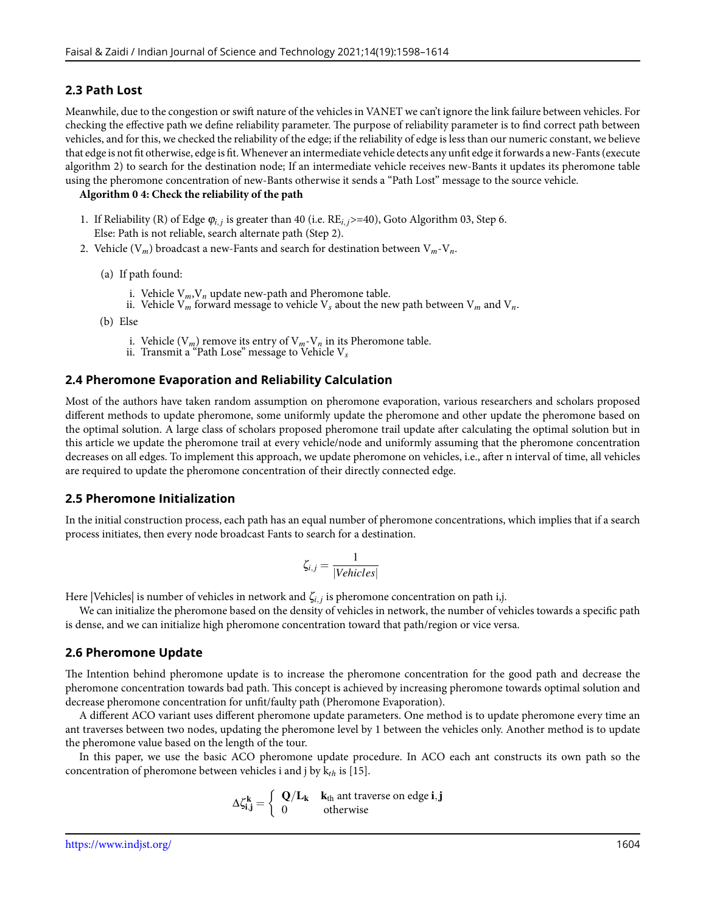#### **2.3 Path Lost**

Meanwhile, due to the congestion or swift nature of the vehicles in VANET we can't ignore the link failure between vehicles. For checking the effective path we define reliability parameter. The purpose of reliability parameter is to find correct path between vehicles, and for this, we checked the reliability of the edge; if the reliability of edge is less than our numeric constant, we believe that edge is not fit otherwise, edge is fit.Whenever an intermediate vehicle detects any unfit edge it forwards a new-Fants (execute algorithm 2) to search for the destination node; If an intermediate vehicle receives new-Bants it updates its pheromone table using the pheromone concentration of new-Bants otherwise it sends a "Path Lost" message to the source vehicle.

#### **Algorithm 0 4: Check the reliability of the path**

- 1. If Reliability (R) of Edge φ*i, j* is greater than 40 (i.e. RE*i, j*>=40), Goto Algorithm 03, Step 6. Else: Path is not reliable, search alternate path (Step 2).
- 2. Vehicle  $(V_m)$  broadcast a new-Fants and search for destination between  $V_m V_n$ .
	- (a) If path found:
		- i. Vehicle  $V_m$ ,  $V_n$  update new-path and Pheromone table.
		- ii. Vehicle  $V_m$  forward message to vehicle  $V_s$  about the new path between  $V_m$  and  $V_n$ .
	- (b) Else
		- i. Vehicle (V*m*) remove its entry of V*m*-V*n* in its Pheromone table.
		- ii. Transmit a "Path Lose" message to Vehicle V*s*

#### **2.4 Pheromone Evaporation and Reliability Calculation**

Most of the authors have taken random assumption on pheromone evaporation, various researchers and scholars proposed different methods to update pheromone, some uniformly update the pheromone and other update the pheromone based on the optimal solution. A large class of scholars proposed pheromone trail update after calculating the optimal solution but in this article we update the pheromone trail at every vehicle/node and uniformly assuming that the pheromone concentration decreases on all edges. To implement this approach, we update pheromone on vehicles, i.e., after n interval of time, all vehicles are required to update the pheromone concentration of their directly connected edge.

#### **2.5 Pheromone Initialization**

In the initial construction process, each path has an equal number of pheromone concentrations, which implies that if a search process initiates, then every node broadcast Fants to search for a destination.

$$
\zeta_{i,j} = \frac{1}{|Vehicle|}
$$

Here |Vehicles| is number of vehicles in network and ζ*i, <sup>j</sup>* is pheromone concentration on path i,j.

We can initialize the pheromone based on the density of vehicles in network, the number of vehicles towards a specific path is dense, and we can initialize high pheromone concentration toward that path/region or vice versa.

#### **2.6 Pheromone Update**

The Intention behind pheromone update is to increase the pheromone concentration for the good path and decrease the pheromone concentration towards bad path. This concept is achieved by increasing pheromone towards optimal solution and decrease pheromone concentration for unfit/faulty path (Pheromone Evaporation).

A different ACO variant uses different pheromone update parameters. One method is to update pheromone every time an ant traverses between two nodes, updating the pheromone level by 1 between the vehicles only. Another method is to update the pheromone value based on the length of the tour.

In this paper, we use the basic ACO pheromone update procedure. In ACO each ant constructs its own path so the concentration of pheromone between vehicles i and j by k*th* is [15].

$$
\Delta\zeta_{\mathbf{i},\mathbf{j}}^{\mathbf{k}}=\left\{\begin{array}{ll}{\mathbf{Q}}/{\mathbf{L}}_{\mathbf{k}}&{k}_{\text{th}}\text{ ant traverse on edge }\mathbf{i},\mathbf{j}\\{0}&{\text{otherwise}}\end{array}\right.
$$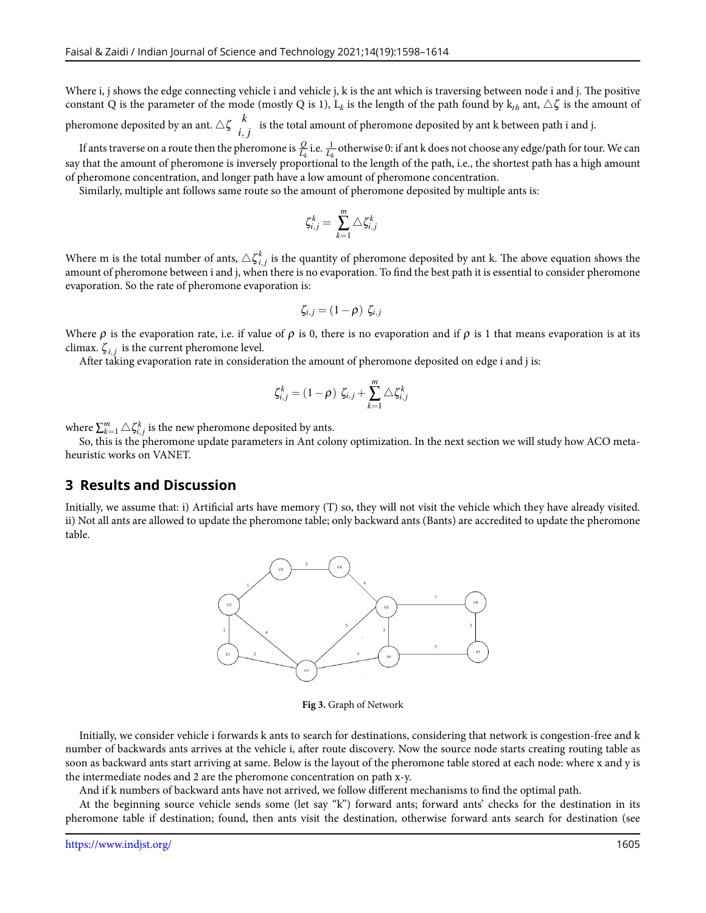Where i, j shows the edge connecting vehicle i and vehicle j, k is the ant which is traversing between node i and j. The positive constant Q is the parameter of the mode (mostly Q is 1),  $L_k$  is the length of the path found by  $k_{th}$  ant,  $\triangle \zeta$  is the amount of pheromone deposited by an ant.  $\triangle \zeta \frac{k}{i}$  $\int_{i,j}^{\infty}$  is the total amount of pheromone deposited by ant k between path i and j.

If ants traverse on a route then the pheromone is  $\frac{Q}{L_k}$  i.e.  $\frac{1}{L_k}$  otherwise 0: if ant k does not choose any edge/path for tour. We can say that the amount of pheromone is inversely proportional to the length of the path, i.e., the shortest path has a high amount of pheromone concentration, and longer path have a low amount of pheromone concentration.

Similarly, multiple ant follows same route so the amount of pheromone deposited by multiple ants is:

$$
\zeta_{i,j}^k = \sum_{k=1}^m \triangle \zeta_{i,j}^k
$$

Where m is the total number of ants,  $\triangle \zeta_{i,j}^k$  is the quantity of pheromone deposited by ant k. The above equation shows the amount of pheromone between i and j, when there is no evaporation. To find the best path it is essential to consider pheromone evaporation. So the rate of pheromone evaporation is:

$$
\zeta_{i,j}=(1-\rho)\,\,\zeta_{i,j}
$$

Where  $\rho$  is the evaporation rate, i.e. if value of  $\rho$  is 0, there is no evaporation and if  $\rho$  is 1 that means evaporation is at its climax.  $\zeta_{i,j}$  is the current pheromone level.

After taking evaporation rate in consideration the amount of pheromone deposited on edge i and j is:

$$
\zeta_{i,j}^k = (1 - \rho) \zeta_{i,j} + \sum_{k=1}^m \triangle \zeta_{i,j}^k
$$

where  $\sum_{k=1}^{m} \triangle \zeta_{i,j}^{k}$  is the new pheromone deposited by ants.

So, this is the pheromone update parameters in Ant colony optimization. In the next section we will study how ACO metaheuristic works on VANET.

#### **3 Results and Discussion**

Initially, we assume that: i) Artificial arts have memory (T) so, they will not visit the vehicle which they have already visited. ii) Not all ants are allowed to update the pheromone table; only backward ants (Bants) are accredited to update the pheromone table.



**Fig 3.** Graph of Network

Initially, we consider vehicle i forwards k ants to search for destinations, considering that network is congestion-free and k number of backwards ants arrives at the vehicle i, after route discovery. Now the source node starts creating routing table as soon as backward ants start arriving at same. Below is the layout of the pheromone table stored at each node: where x and y is the intermediate nodes and 2 are the pheromone concentration on path x-y.

And if k numbers of backward ants have not arrived, we follow different mechanisms to find the optimal path.

At the beginning source vehicle sends some (let say "k") forward ants; forward ants' checks for the destination in its pheromone table if destination; found, then ants visit the destination, otherwise forward ants search for destination (see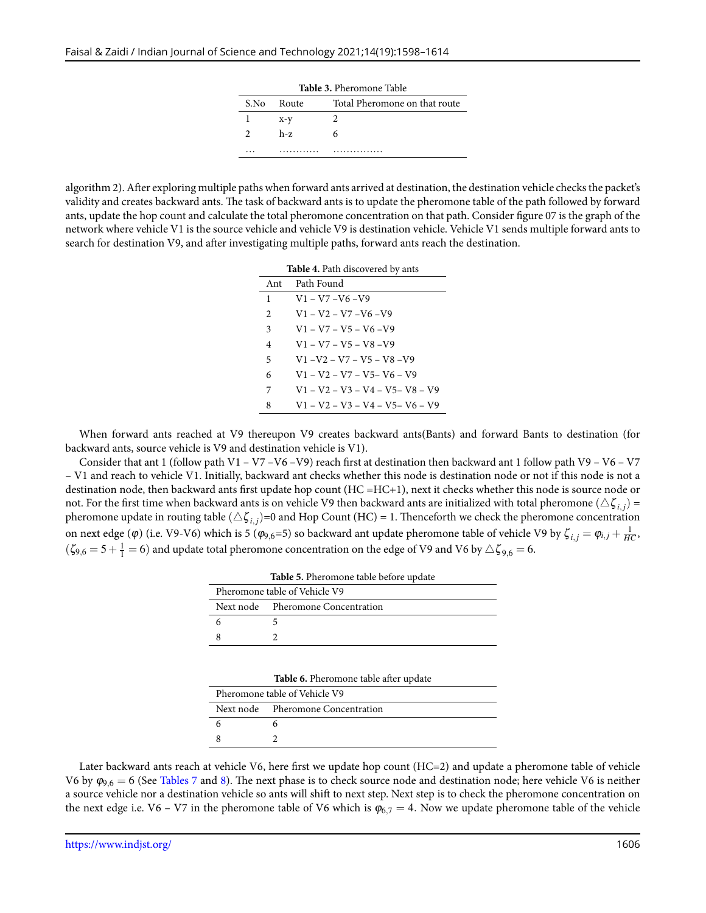|               | S.No Route | <b>Table 3. Pheromone Table</b><br>Total Pheromone on that route |
|---------------|------------|------------------------------------------------------------------|
|               | $x-y$      |                                                                  |
| $\mathcal{P}$ | $h-z$      | h                                                                |
|               |            |                                                                  |

algorithm 2). After exploring multiple paths when forward ants arrived at destination, the destination vehicle checks the packet's validity and creates backward ants. The task of backward ants is to update the pheromone table of the path followed by forward ants, update the hop count and calculate the total pheromone concentration on that path. Consider figure 07 is the graph of the network where vehicle V1 is the source vehicle and vehicle V9 is destination vehicle. Vehicle V1 sends multiple forward ants to search for destination V9, and after investigating multiple paths, forward ants reach the destination.

| <b>Table 4.</b> Path discovered by ants |                                    |  |
|-----------------------------------------|------------------------------------|--|
| Ant                                     | Path Found                         |  |
| 1                                       | $V1 - V7 - V6 - V9$                |  |
| $\mathfrak{D}$                          | $V1 - V2 - V7 - V6 - V9$           |  |
| 3                                       | $V1 - V7 - V5 - V6 - V9$           |  |
| $\overline{4}$                          | $V1 - V7 - V5 - V8 - V9$           |  |
| 5                                       | $V1 - V2 - V7 - V5 - V8 - V9$      |  |
| 6                                       | $V1 - V2 - V7 - V5 - V6 - V9$      |  |
| 7                                       | $V1 - V2 - V3 - V4 - V5 - V8 - V9$ |  |
| 8                                       | $V1 - V2 - V3 - V4 - V5 - V6 - V9$ |  |

When forward ants reached at V9 thereupon V9 creates backward ants(Bants) and forward Bants to destination (for backward ants, source vehicle is V9 and destination vehicle is V1).

Consider that ant 1 (follow path V1 – V7 – V6 – V9) reach first at destination then backward ant 1 follow path V9 – V6 – V7 – V1 and reach to vehicle V1. Initially, backward ant checks whether this node is destination node or not if this node is not a destination node, then backward ants first update hop count (HC =HC+1), next it checks whether this node is source node or not. For the first time when backward ants is on vehicle V9 then backward ants are initialized with total pheromone  $(\triangle \zeta_{i,j})$  = pheromone update in routing table  $(\triangle \zeta_{i,j})$ =0 and Hop Count (HC) = 1. Thenceforth we check the pheromone concentration on next edge (φ) (i.e. V9-V6) which is 5 (φ<sub>9,6</sub>=5) so backward ant update pheromone table of vehicle V9 by  $\zeta_{i,j} = \varphi_{i,j} + \frac{1}{HC}$ ,  $(\zeta_{9,6}=5+\frac{1}{1}=6)$  and update total pheromone concentration on the edge of V9 and V6 by  $\triangle\zeta_{9,6}=6.$ 

|                               | <b>Table 5.</b> Pheromone table before update |  |
|-------------------------------|-----------------------------------------------|--|
| Pheromone table of Vehicle V9 |                                               |  |
|                               | Next node Pheromone Concentration             |  |
| -6                            |                                               |  |
|                               |                                               |  |
|                               |                                               |  |

| Table 6. Pheromone table after update |  |  |
|---------------------------------------|--|--|
|---------------------------------------|--|--|

| Pheromone table of Vehicle V9     |
|-----------------------------------|
| Next node Pheromone Concentration |
|                                   |
|                                   |

Later backward ants reach at vehicle V6, here first we update hop count (HC=2) and update a pheromone table of vehicle V6 by <sup>φ</sup>9*,*<sup>6</sup> = 6 (See Tables [7](#page-9-0) and [8](#page-9-1)). The next phase is to check source node and destination node; here vehicle V6 is neither a source vehicle nor a destination vehicle so ants will shift to next step. Next step is to check the pheromone concentration on the next edge i.e. V6 – V7 in the pheromone table of V6 which is  $\varphi_{6,7} = 4$ . Now we update pheromone table of the vehicle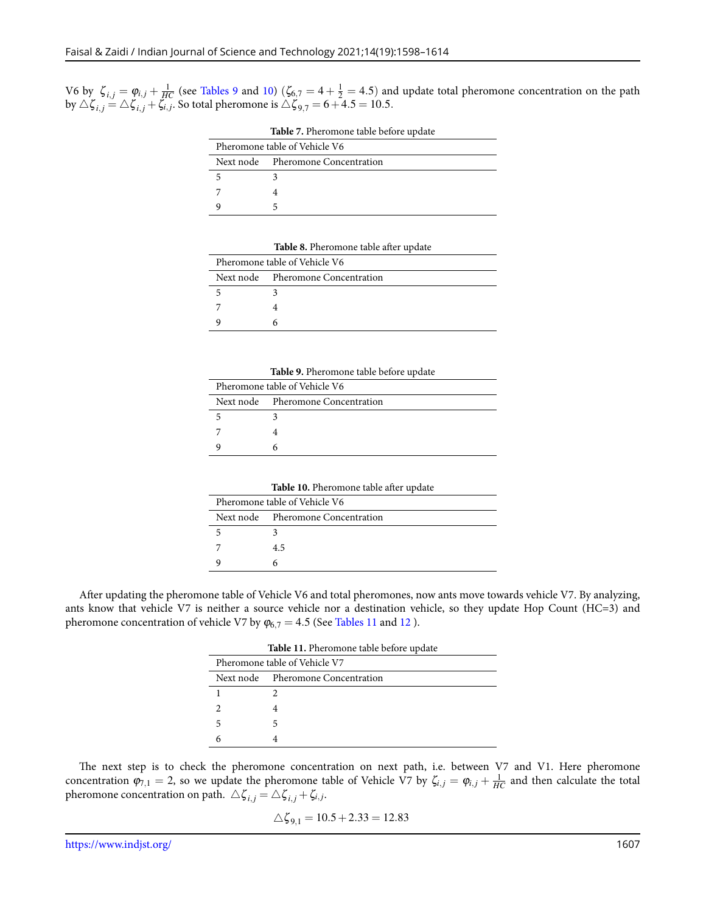<span id="page-9-0"></span>V6 by  $\zeta_{i,j} = \varphi_{i,j} + \frac{1}{H C}$  (see Tables [9](#page-9-2) and [10](#page-9-3)) ( $\zeta_{6,7} = 4 + \frac{1}{2} = 4.5$ ) and update total pheromone concentration on the path  $\bigcirc$  by  $\triangle \zeta_{i,j} = \triangle \zeta_{i,j} + \zeta_{i,j}$ . So total pheromone is  $\triangle \zeta_{9,7} = 6 + 4.5 = 10.5$ .

| Pheromone table of Vehicle V6 |                                   |  |
|-------------------------------|-----------------------------------|--|
|                               | Next node Pheromone Concentration |  |
|                               |                                   |  |
|                               |                                   |  |
|                               |                                   |  |

**Table 7.** Pheromone table before update

|  | Table 8. Pheromone table after update |  |  |  |  |
|--|---------------------------------------|--|--|--|--|
|--|---------------------------------------|--|--|--|--|

<span id="page-9-1"></span>

| Pheromone table of Vehicle V6 |                                   |  |
|-------------------------------|-----------------------------------|--|
|                               | Next node Pheromone Concentration |  |
|                               |                                   |  |
|                               |                                   |  |
|                               |                                   |  |

<span id="page-9-2"></span>

| <b>Table 9.</b> Pheromone table before update |                                   |  |
|-----------------------------------------------|-----------------------------------|--|
| Pheromone table of Vehicle V6                 |                                   |  |
|                                               | Next node Pheromone Concentration |  |
|                                               |                                   |  |
|                                               |                                   |  |
|                                               |                                   |  |

**Table 10.** Pheromone table after update

| Pheromone table of Vehicle V6 |                                   |  |
|-------------------------------|-----------------------------------|--|
|                               | Next node Pheromone Concentration |  |
|                               |                                   |  |
|                               | 4.5                               |  |
|                               |                                   |  |

<span id="page-9-4"></span><span id="page-9-3"></span>After updating the pheromone table of Vehicle V6 and total pheromones, now ants move towards vehicle V7. By analyzing, ants know that vehicle V7 is neither a source vehicle nor a destination vehicle, so they update Hop Count (HC=3) and pheromone concentration of vehicle V7 by  $\varphi_{6,7} = 4.5$  (See Tables [11](#page-9-4) and [12](#page-10-0)).

|                               | Table 11. Pheromone table before update |
|-------------------------------|-----------------------------------------|
| Pheromone table of Vehicle V7 |                                         |
|                               | Next node Pheromone Concentration       |
|                               |                                         |
|                               |                                         |
| 5                             |                                         |
|                               |                                         |

The next step is to check the pheromone concentration on next path, i.e. between V7 and V1. Here pheromone concentration  $\varphi_{7,1} = 2$ , so we update the pheromone table of Vehicle V7 by  $\zeta_{i,j} = \varphi_{i,j} + \frac{1}{HC}$  and then calculate the total pheromone concentration on path.  $\triangle \zeta_{i,j} = \triangle \zeta_{i,j} + \zeta_{i,j}.$ 

$$
\triangle \zeta_{9,1} = 10.5 + 2.33 = 12.83
$$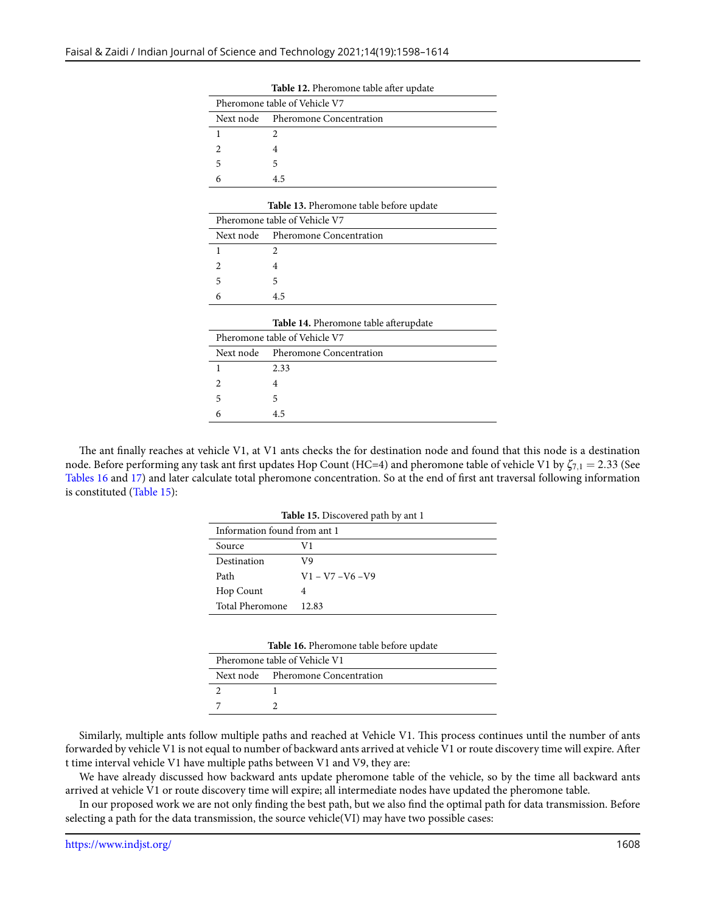<span id="page-10-0"></span>

| Pheromone table of Vehicle V7 |                                   |  |
|-------------------------------|-----------------------------------|--|
|                               | Next node Pheromone Concentration |  |
|                               |                                   |  |
|                               |                                   |  |
|                               |                                   |  |
|                               | 4.5                               |  |

**Table 12.** Pheromone table after update

|                               | Table 13. Pheromone table before update |
|-------------------------------|-----------------------------------------|
| Pheromone table of Vehicle V7 |                                         |
|                               | Next node Pheromone Concentration       |
|                               |                                         |
|                               |                                         |
| 5                             | 5                                       |
| 6                             | 4.5                                     |

|  |  | Table 14. Pheromone table afterupdate |  |
|--|--|---------------------------------------|--|
|--|--|---------------------------------------|--|

| Pheromone table of Vehicle V7 |                                   |
|-------------------------------|-----------------------------------|
|                               | Next node Pheromone Concentration |
|                               | 2.33                              |
|                               |                                   |
| 5                             |                                   |
|                               | 4.5                               |

<span id="page-10-2"></span>The ant finally reaches at vehicle V1, at V1 ants checks the for destination node and found that this node is a destination node. Before performing any task ant first updates Hop Count (HC=4) and pheromone table of vehicle V1 by ζ7*,*<sup>1</sup> = 2*.*33 (See Tables [16](#page-10-1) and [17](#page-11-0)) and later calculate total pheromone concentration. So at the end of first ant traversal following information is constituted (Table [15](#page-10-2)):

| Table 15. Discovered path by ant 1 |                     |  |
|------------------------------------|---------------------|--|
| Information found from ant 1       |                     |  |
| Source                             | V1                  |  |
| Destination                        | V9                  |  |
| Path                               | $V1 - V7 - V6 - V9$ |  |
| Hop Count                          | 4                   |  |
| Total Pheromone                    | 12.83               |  |

| Table 16. Pheromone table before update |  |
|-----------------------------------------|--|
|-----------------------------------------|--|

| Pheromone table of Vehicle V1 |                                   |
|-------------------------------|-----------------------------------|
|                               | Next node Pheromone Concentration |
|                               |                                   |
|                               |                                   |

<span id="page-10-1"></span>Similarly, multiple ants follow multiple paths and reached at Vehicle V1. This process continues until the number of ants forwarded by vehicle V1 is not equal to number of backward ants arrived at vehicle V1 or route discovery time will expire. After t time interval vehicle V1 have multiple paths between V1 and V9, they are:

We have already discussed how backward ants update pheromone table of the vehicle, so by the time all backward ants arrived at vehicle V1 or route discovery time will expire; all intermediate nodes have updated the pheromone table.

In our proposed work we are not only finding the best path, but we also find the optimal path for data transmission. Before selecting a path for the data transmission, the source vehicle(VI) may have two possible cases: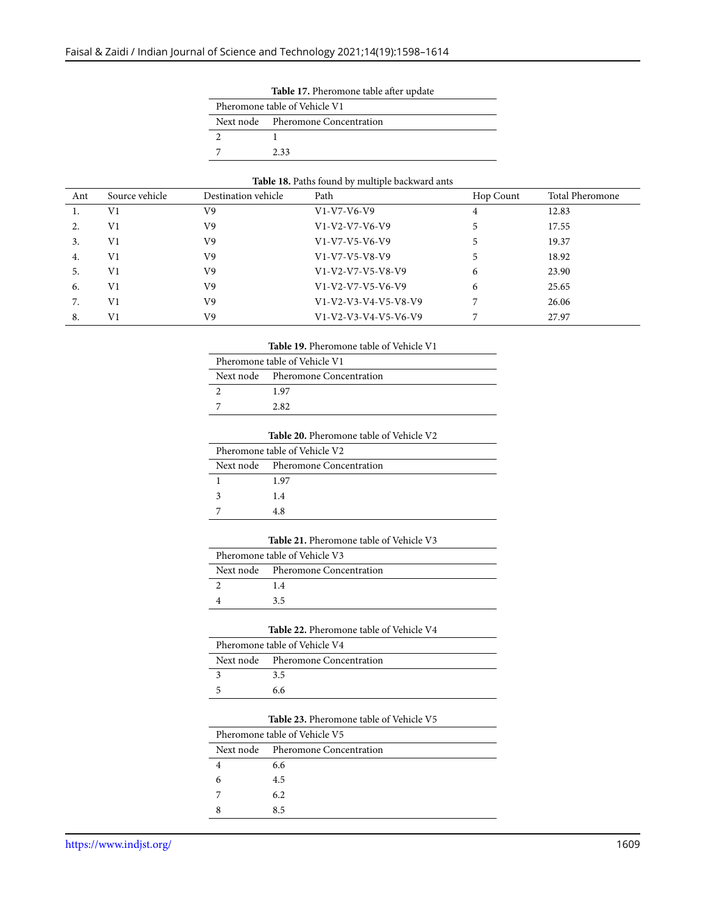|                               | Table 17. Pheromone table after update |
|-------------------------------|----------------------------------------|
| Pheromone table of Vehicle V1 |                                        |
|                               | Next node Pheromone Concentration      |
|                               |                                        |
|                               | 2.33                                   |

#### **Table 18.** Paths found by multiple backward ants

<span id="page-11-0"></span>

| Ant | Source vehicle | Destination vehicle | Path                   | Hop Count | <b>Total Pheromone</b> |
|-----|----------------|---------------------|------------------------|-----------|------------------------|
| 1.  | V <sub>1</sub> | V9                  | $V1-V7-V6-V9$          | 4         | 12.83                  |
| 2.  | V1             | V9                  | $V1-V2-V7-V6-V9$       |           | 17.55                  |
| 3.  | V1             | V9                  | $V1-V7-V5-V6-V9$       |           | 19.37                  |
| 4.  | V1             | V9                  | $V1-V7-V5-V8-V9$       |           | 18.92                  |
| 5.  | V1             | V9                  | $V1-V2-V7-V5-V8-V9$    | 6         | 23.90                  |
| 6.  | V <sub>1</sub> | V9                  | $V1-V2-V7-V5-V6-V9$    | 6         | 25.65                  |
| 7.  | V1             | V9                  | V1-V2-V3-V4-V5-V8-V9   |           | 26.06                  |
| 8.  | V1             | V9                  | $V1-V2-V3-V4-V5-V6-V9$ |           | 27.97                  |

**Table 19.** Pheromone table of Vehicle V1

| Pheromone table of Vehicle V1 |                                   |
|-------------------------------|-----------------------------------|
|                               | Next node Pheromone Concentration |
|                               | 1.97                              |
|                               | 2.82                              |
|                               |                                   |

|                               | <b>Table 20.</b> Pheromone table of Vehicle V2 |
|-------------------------------|------------------------------------------------|
| Pheromone table of Vehicle V2 |                                                |
|                               | Next node Pheromone Concentration              |
|                               | 1.97                                           |
|                               | 1.4                                            |
|                               | 4.8                                            |

| Table 21. Pheromone table of Vehicle V3 |
|-----------------------------------------|
|-----------------------------------------|

| Pheromone table of Vehicle V3 |                                   |  |  |  |
|-------------------------------|-----------------------------------|--|--|--|
|                               | Next node Pheromone Concentration |  |  |  |
|                               | 1.4                               |  |  |  |
|                               | 35                                |  |  |  |
|                               |                                   |  |  |  |

| <b>Table 22.</b> Pheromone table of Vehicle V4 |
|------------------------------------------------|
|------------------------------------------------|

| Pheromone table of Vehicle V4 |                                   |  |  |  |
|-------------------------------|-----------------------------------|--|--|--|
|                               | Next node Pheromone Concentration |  |  |  |
|                               | 3.5                               |  |  |  |
|                               | 6.6                               |  |  |  |

#### **Table 23.** Pheromone table of Vehicle V5

| Pheromone table of Vehicle V5 |                                   |  |  |  |
|-------------------------------|-----------------------------------|--|--|--|
|                               | Next node Pheromone Concentration |  |  |  |
|                               | 6.6                               |  |  |  |
| 6                             | 4.5                               |  |  |  |
|                               | 6.2                               |  |  |  |
|                               | 8.5                               |  |  |  |

L,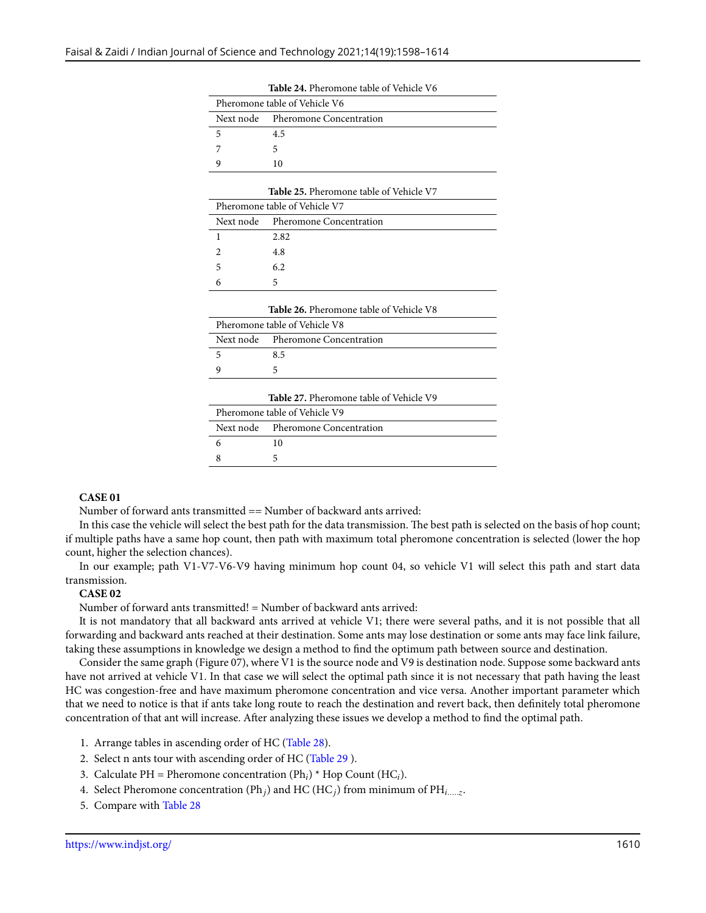| Pheromone table of Vehicle V6 |                                   |  |  |  |
|-------------------------------|-----------------------------------|--|--|--|
|                               | Next node Pheromone Concentration |  |  |  |
|                               | 4.5                               |  |  |  |
|                               |                                   |  |  |  |
|                               | 10                                |  |  |  |

**Table 24.** Pheromone table of Vehicle V6

| Pheromone table of Vehicle V7 |                                   |  |  |  |
|-------------------------------|-----------------------------------|--|--|--|
|                               | Next node Pheromone Concentration |  |  |  |
|                               | 2.82                              |  |  |  |
|                               | 4.8                               |  |  |  |
| 5                             | 6.2                               |  |  |  |
|                               |                                   |  |  |  |

| <b>Table 26.</b> Pheromone table of Vehicle V8 |                                   |  |  |  |
|------------------------------------------------|-----------------------------------|--|--|--|
| Pheromone table of Vehicle V8                  |                                   |  |  |  |
|                                                | Next node Pheromone Concentration |  |  |  |
|                                                | 8.5                               |  |  |  |
|                                                |                                   |  |  |  |
|                                                |                                   |  |  |  |

**Table 27.** Pheromone table of Vehicle V9

| Pheromone table of Vehicle V9 |                                   |  |  |  |
|-------------------------------|-----------------------------------|--|--|--|
|                               | Next node Pheromone Concentration |  |  |  |
|                               | 10                                |  |  |  |
|                               |                                   |  |  |  |

#### **CASE 01**

Number of forward ants transmitted == Number of backward ants arrived:

In this case the vehicle will select the best path for the data transmission. The best path is selected on the basis of hop count; if multiple paths have a same hop count, then path with maximum total pheromone concentration is selected (lower the hop count, higher the selection chances).

In our example; path V1-V7-V6-V9 having minimum hop count 04, so vehicle V1 will select this path and start data transmission.

#### **CASE 02**

Number of forward ants transmitted! = Number of backward ants arrived:

It is not mandatory that all backward ants arrived at vehicle V1; there were several paths, and it is not possible that all forwarding and backward ants reached at their destination. Some ants may lose destination or some ants may face link failure, taking these assumptions in knowledge we design a method to find the optimum path between source and destination.

Consider the same graph (Figure 07), where V1 is the source node and V9 is destination node. Suppose some backward ants have not arrived at vehicle V1. In that case we will select the optimal path since it is not necessary that path having the least HC was congestion-free and have maximum pheromone concentration and vice versa. Another important parameter which that we need to notice is that if ants take long route to reach the destination and revert back, then definitely total pheromone concentration of that ant will increase. After analyzing these issues we develop a method to find the optimal path.

- 1. Arrange tables in ascending order of HC (Table [28](#page-13-0)).
- 2. Select n ants tour with ascending order of HC (Table [29](#page-13-1) ).
- 3. Calculate PH = Pheromone concentration (Ph*i*) \* Hop Count (HC*i*).
- 4. Select Pheromone concentration (Ph*j*) and HC (HC*j*) from minimum of PH*i.....z* .
- 5. Compare with Table [28](#page-13-0)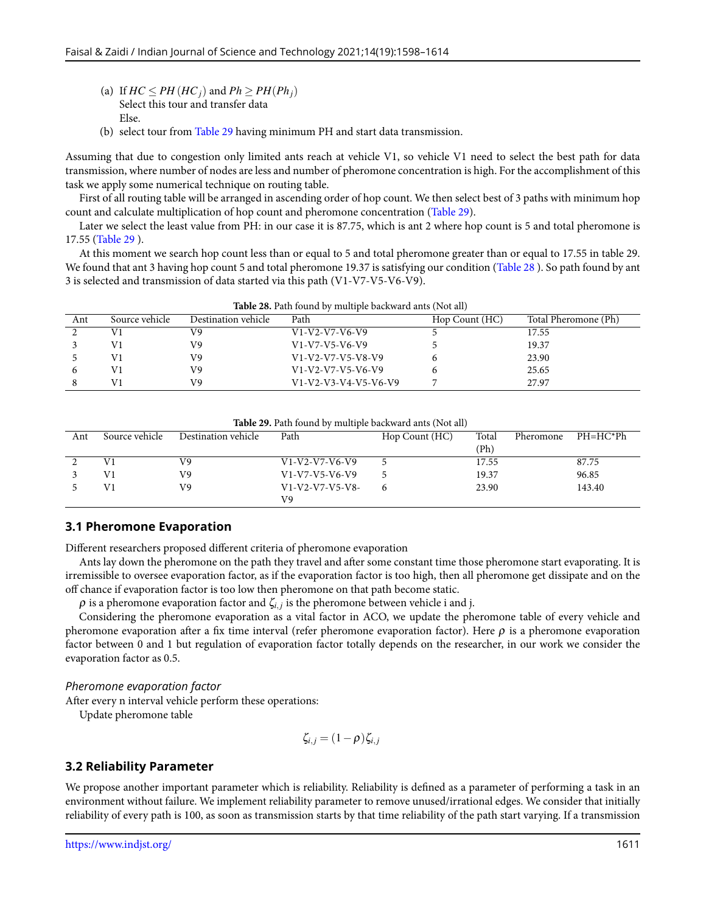- (a) If  $HC \le PH(HC_i)$  and  $Ph \ge PH(Ph_i)$ Select this tour and transfer data Else.
- (b) select tour from Table [29](#page-13-1) having minimum PH and start data transmission.

Assuming that due to congestion only limited ants reach at vehicle V1, so vehicle V1 need to select the best path for data transmission, where number of nodes are less and number of pheromone concentration is high. For the accomplishment of this task we apply some numerical technique on routing table.

First of all routing table will be arranged in ascending order of hop count. We then select best of 3 paths with minimum hop count and calculate multiplication of hop count and pheromone concentration (Table [29](#page-13-1)).

Later we select the least value from PH: in our case it is 87.75, which is ant 2 where hop count is 5 and total pheromone is 17.55 (Table [29](#page-13-1) ).

At this moment we search hop count less than or equal to 5 and total pheromone greater than or equal to 17.55 in table 29. We found that ant 3 having hop count 5 and total pheromone 19.37 is satisfying our condition (Table [28](#page-13-0) ). So path found by ant 3 is selected and transmission of data started via this path (V1-V7-V5-V6-V9).

<span id="page-13-0"></span>

| <b>Table 28.</b> Path found by multiple backward ants (Not all) |                |                     |                        |                                        |       |  |
|-----------------------------------------------------------------|----------------|---------------------|------------------------|----------------------------------------|-------|--|
| Ant                                                             | Source vehicle | Destination vehicle | Path                   | Total Pheromone (Ph)<br>Hop Count (HC) |       |  |
|                                                                 | V1             | V9                  | $V1-V2-V7-V6-V9$       |                                        | 17.55 |  |
|                                                                 | V1             | V9                  | $V1-V7-V5-V6-V9$       |                                        | 19.37 |  |
|                                                                 | V1             | V9                  | $V1-V2-V7-V5-V8-V9$    |                                        | 23.90 |  |
|                                                                 | V١             | V9                  | $V1-V2-V7-V5-V6-V9$    |                                        | 25.65 |  |
|                                                                 | V1             | V9                  | $V1-V2-V3-V4-V5-V6-V9$ |                                        | 27.97 |  |

<span id="page-13-1"></span>

| <b>Table 29.</b> Path found by multiple backward ants (Not all) |                |                     |                   |                |       |           |            |
|-----------------------------------------------------------------|----------------|---------------------|-------------------|----------------|-------|-----------|------------|
| Ant                                                             | Source vehicle | Destination vehicle | Path              | Hop Count (HC) | Total | Pheromone | $PH=HC*Ph$ |
|                                                                 |                |                     |                   |                | (Ph)  |           |            |
|                                                                 |                | V9                  | $V1-V2-V7-V6-V9$  |                | 17.55 |           | 87.75      |
|                                                                 |                | V9                  | $V1-V7-V5-V6-V9$  |                | 19.37 |           | 96.85      |
|                                                                 |                | V9                  | $V1-V2-V7-V5-V8-$ |                | 23.90 |           | 143.40     |
|                                                                 |                |                     | V9                |                |       |           |            |

# **3.1 Pheromone Evaporation**

Different researchers proposed different criteria of pheromone evaporation

Ants lay down the pheromone on the path they travel and after some constant time those pheromone start evaporating. It is irremissible to oversee evaporation factor, as if the evaporation factor is too high, then all pheromone get dissipate and on the off chance if evaporation factor is too low then pheromone on that path become static.

 $\rho$  is a pheromone evaporation factor and  $\zeta_{i,j}$  is the pheromone between vehicle i and j.

Considering the pheromone evaporation as a vital factor in ACO, we update the pheromone table of every vehicle and pheromone evaporation after a fix time interval (refer pheromone evaporation factor). Here  $\rho$  is a pheromone evaporation factor between 0 and 1 but regulation of evaporation factor totally depends on the researcher, in our work we consider the evaporation factor as 0.5.

#### *Pheromone evaporation factor*

After every n interval vehicle perform these operations:

Update pheromone table

$$
\zeta_{i,j}=(1-\rho)\zeta_{i,j}
$$

# **3.2 Reliability Parameter**

We propose another important parameter which is reliability. Reliability is defined as a parameter of performing a task in an environment without failure. We implement reliability parameter to remove unused/irrational edges. We consider that initially reliability of every path is 100, as soon as transmission starts by that time reliability of the path start varying. If a transmission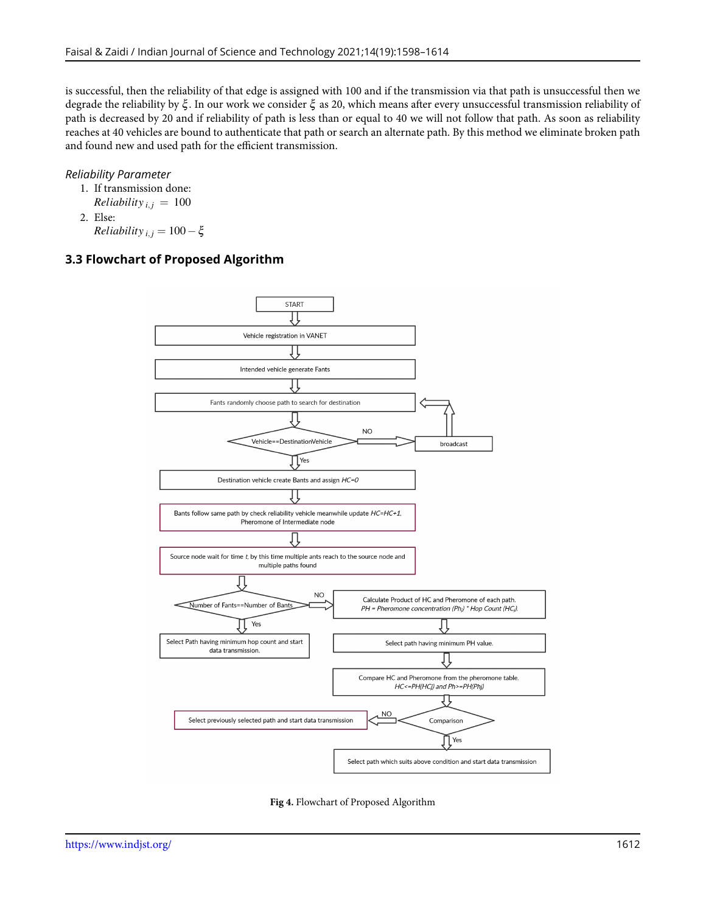is successful, then the reliability of that edge is assigned with 100 and if the transmission via that path is unsuccessful then we degrade the reliability by ξ . In our work we consider ξ as 20, which means after every unsuccessful transmission reliability of path is decreased by 20 and if reliability of path is less than or equal to 40 we will not follow that path. As soon as reliability reaches at 40 vehicles are bound to authenticate that path or search an alternate path. By this method we eliminate broken path and found new and used path for the efficient transmission.

#### *Reliability Parameter*

1. If transmission done: *Reliability*<sub>*i*</sub>,  $j = 100$ 

2. Else:

*Reliability*<sub>*i*</sub>,  $j = 100 - \xi$ 

# **3.3 Flowchart of Proposed Algorithm**



**Fig 4.** Flowchart of Proposed Algorithm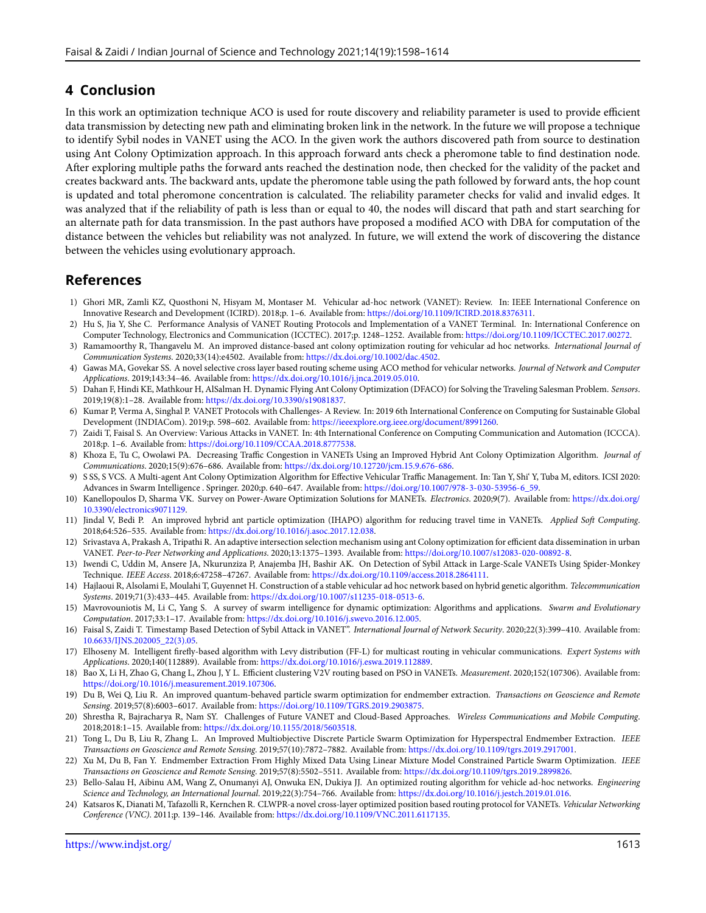# **4 Conclusion**

In this work an optimization technique ACO is used for route discovery and reliability parameter is used to provide efficient data transmission by detecting new path and eliminating broken link in the network. In the future we will propose a technique to identify Sybil nodes in VANET using the ACO. In the given work the authors discovered path from source to destination using Ant Colony Optimization approach. In this approach forward ants check a pheromone table to find destination node. After exploring multiple paths the forward ants reached the destination node, then checked for the validity of the packet and creates backward ants. The backward ants, update the pheromone table using the path followed by forward ants, the hop count is updated and total pheromone concentration is calculated. The reliability parameter checks for valid and invalid edges. It was analyzed that if the reliability of path is less than or equal to 40, the nodes will discard that path and start searching for an alternate path for data transmission. In the past authors have proposed a modified ACO with DBA for computation of the distance between the vehicles but reliability was not analyzed. In future, we will extend the work of discovering the distance between the vehicles using evolutionary approach.

# **References**

- <span id="page-15-0"></span>1) Ghori MR, Zamli KZ, Quosthoni N, Hisyam M, Montaser M. Vehicular ad-hoc network (VANET): Review. In: IEEE International Conference on Innovative Research and Development (ICIRD). 2018;p. 1–6. Available from: <https://doi.org/10.1109/ICIRD.2018.8376311>.
- <span id="page-15-1"></span>2) Hu S, Jia Y, She C. Performance Analysis of VANET Routing Protocols and Implementation of a VANET Terminal. In: International Conference on Computer Technology, Electronics and Communication (ICCTEC). 2017;p. 1248–1252. Available from: <https://doi.org/10.1109/ICCTEC.2017.00272>.
- <span id="page-15-2"></span>3) Ramamoorthy R, Thangavelu M. An improved distance-based ant colony optimization routing for vehicular ad hoc networks. *International Journal of Communication Systems*. 2020;33(14):e4502. Available from: [https://dx.doi.org/10.1002/dac.4502.](https://dx.doi.org/10.1002/dac.4502)
- <span id="page-15-3"></span>4) Gawas MA, Govekar SS. A novel selective cross layer based routing scheme using ACO method for vehicular networks. *Journal of Network and Computer Applications*. 2019;143:34–46. Available from: <https://dx.doi.org/10.1016/j.jnca.2019.05.010>.
- <span id="page-15-4"></span>5) Dahan F, Hindi KE, Mathkour H, AlSalman H. Dynamic Flying Ant Colony Optimization (DFACO) for Solving the Traveling Salesman Problem. *Sensors*. 2019;19(8):1–28. Available from: <https://dx.doi.org/10.3390/s19081837>.
- <span id="page-15-5"></span>6) Kumar P, Verma A, Singhal P. VANET Protocols with Challenges- A Review. In: 2019 6th International Conference on Computing for Sustainable Global Development (INDIACom). 2019;p. 598–602. Available from: [https://ieeexplore.org.ieee.org/document/8991260.](https://ieeexplore.org.ieee.org/document/8991260)
- <span id="page-15-6"></span>7) Zaidi T, Faisal S. An Overview: Various Attacks in VANET. In: 4th International Conference on Computing Communication and Automation (ICCCA). 2018;p. 1–6. Available from: <https://doi.org/10.1109/CCAA.2018.8777538>.
- <span id="page-15-7"></span>8) Khoza E, Tu C, Owolawi PA. Decreasing Traffic Congestion in VANETs Using an Improved Hybrid Ant Colony Optimization Algorithm. *Journal of Communications*. 2020;15(9):676–686. Available from: [https://dx.doi.org/10.12720/jcm.15.9.676-686.](https://dx.doi.org/10.12720/jcm.15.9.676-686)
- <span id="page-15-8"></span>9) S SS, S VCS. A Multi-agent Ant Colony Optimization Algorithm for Effective Vehicular Traffic Management. In: Tan Y, Shi' Y, Tuba M, editors. ICSI 2020: Advances in Swarm Intelligence . Springer. 2020;p. 640–647. Available from: [https://doi.org/10.1007/978-3-030-53956-6\\_59](https://doi.org/10.1007/978-3-030-53956-6_59).
- <span id="page-15-9"></span>10) Kanellopoulos D, Sharma VK. Survey on Power-Aware Optimization Solutions for MANETs. *Electronics*. 2020;9(7). Available from: [https://dx.doi.org/](https://dx.doi.org/10.3390/electronics9071129) [10.3390/electronics9071129.](https://dx.doi.org/10.3390/electronics9071129)
- <span id="page-15-10"></span>11) Jindal V, Bedi P. An improved hybrid ant particle optimization (IHAPO) algorithm for reducing travel time in VANETs. *Applied Soft Computing*. 2018;64:526–535. Available from: <https://dx.doi.org/10.1016/j.asoc.2017.12.038>.
- <span id="page-15-11"></span>12) Srivastava A, Prakash A, Tripathi R. An adaptive intersection selection mechanism using ant Colony optimization for efficient data dissemination in urban VANET. *Peer-to-Peer Networking and Applications*. 2020;13:1375–1393. Available from: <https://doi.org/10.1007/s12083-020-00892-8>.
- <span id="page-15-12"></span>13) Iwendi C, Uddin M, Ansere JA, Nkurunziza P, Anajemba JH, Bashir AK. On Detection of Sybil Attack in Large-Scale VANETs Using Spider-Monkey Technique. *IEEE Access*. 2018;6:47258–47267. Available from: <https://dx.doi.org/10.1109/access.2018.2864111>.
- <span id="page-15-13"></span>14) Hajlaoui R, Alsolami E, Moulahi T, Guyennet H. Construction of a stable vehicular ad hoc network based on hybrid genetic algorithm. *Telecommunication Systems*. 2019;71(3):433–445. Available from: [https://dx.doi.org/10.1007/s11235-018-0513-6.](https://dx.doi.org/10.1007/s11235-018-0513-6)
- <span id="page-15-14"></span>15) Mavrovouniotis M, Li C, Yang S. A survey of swarm intelligence for dynamic optimization: Algorithms and applications. *Swarm and Evolutionary Computation*. 2017;33:1–17. Available from: [https://dx.doi.org/10.1016/j.swevo.2016.12.005.](https://dx.doi.org/10.1016/j.swevo.2016.12.005)
- <span id="page-15-15"></span>16) Faisal S, Zaidi T. Timestamp Based Detection of Sybil Attack in VANET". *International Journal of Network Security*. 2020;22(3):399–410. Available from: [10.6633/IJNS.202005\\_22\(3\).05.](10.6633/IJNS.202005_22(3).05)
- <span id="page-15-16"></span>17) Elhoseny M. Intelligent firefly-based algorithm with Levy distribution (FF-L) for multicast routing in vehicular communications. *Expert Systems with Applications*. 2020;140(112889). Available from: <https://dx.doi.org/10.1016/j.eswa.2019.112889>.
- <span id="page-15-17"></span>18) Bao X, Li H, Zhao G, Chang L, Zhou J, Y L. Efficient clustering V2V routing based on PSO in VANETs. *Measurement*. 2020;152(107306). Available from: [https://doi.org/10.1016/j.measurement.2019.107306.](https://doi.org/10.1016/j.measurement.2019.107306)
- <span id="page-15-18"></span>19) Du B, Wei Q, Liu R. An improved quantum-behaved particle swarm optimization for endmember extraction. *Transactions on Geoscience and Remote Sensing*. 2019;57(8):6003–6017. Available from: <https://doi.org/10.1109/TGRS.2019.2903875>.
- <span id="page-15-19"></span>20) Shrestha R, Bajracharya R, Nam SY. Challenges of Future VANET and Cloud-Based Approaches. *Wireless Communications and Mobile Computing*. 2018;2018:1–15. Available from: [https://dx.doi.org/10.1155/2018/5603518.](https://dx.doi.org/10.1155/2018/5603518)
- <span id="page-15-20"></span>21) Tong L, Du B, Liu R, Zhang L. An Improved Multiobjective Discrete Particle Swarm Optimization for Hyperspectral Endmember Extraction. *IEEE Transactions on Geoscience and Remote Sensing*. 2019;57(10):7872–7882. Available from: <https://dx.doi.org/10.1109/tgrs.2019.2917001>.
- <span id="page-15-21"></span>22) Xu M, Du B, Fan Y. Endmember Extraction From Highly Mixed Data Using Linear Mixture Model Constrained Particle Swarm Optimization. *IEEE Transactions on Geoscience and Remote Sensing*. 2019;57(8):5502–5511. Available from: <https://dx.doi.org/10.1109/tgrs.2019.2899826>.
- <span id="page-15-22"></span>23) Bello-Salau H, Aibinu AM, Wang Z, Onumanyi AJ, Onwuka EN, Dukiya JJ. An optimized routing algorithm for vehicle ad-hoc networks. *Engineering Science and Technology, an International Journal*. 2019;22(3):754–766. Available from: [https://dx.doi.org/10.1016/j.jestch.2019.01.016.](https://dx.doi.org/10.1016/j.jestch.2019.01.016)
- <span id="page-15-23"></span>24) Katsaros K, Dianati M, Tafazolli R, Kernchen R. CLWPR-a novel cross-layer optimized position based routing protocol for VANETs. *Vehicular Networking Conference (VNC)*. 2011;p. 139–146. Available from: [https://dx.doi.org/10.1109/VNC.2011.6117135.](https://dx.doi.org/10.1109/VNC.2011.6117135)